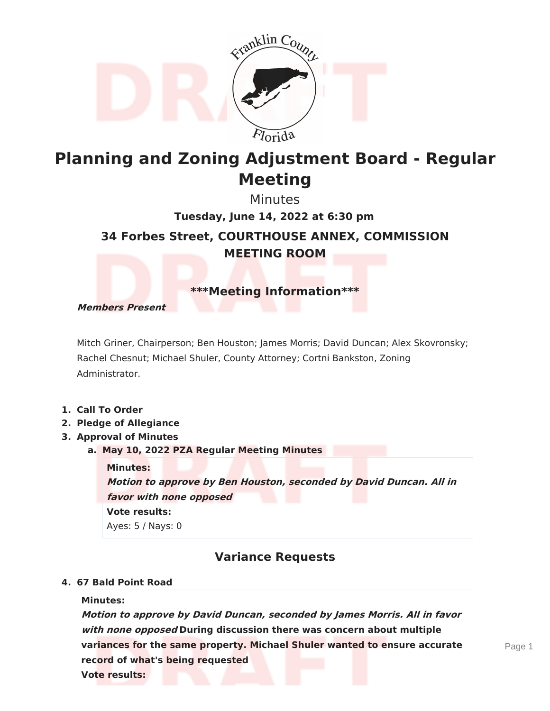

# **Planning and Zoning Adjustment Board - Regular Meeting**

Minutes

**34 Forbes Street, COURTHOUSE ANNEX, COMMISSION MEETING ROOM Tuesday, June 14, 2022 at 6:30 pm**

**\*\*\*Meeting Information\*\*\***

**Members Present**

Mitch Griner, Chairperson; Ben Houston; James Morris; David Duncan; Alex Skovronsky; Rachel Chesnut; Michael Shuler, County Attorney; Cortni Bankston, Zoning Administrator.

- **1. Call To Order**
- **2. Pledge of Allegiance**
- **3. Approval of Minutes**
	- **a. May 10, 2022 PZA Regular Meeting Minutes**

**Minutes: Motion to approve by Ben Houston, seconded by David Duncan. All in favor with none opposed Vote results:** Ayes: 5 / Nays: 0

## **Variance Requests**

#### **4. 67 Bald Point Road**

#### **Minutes:**

**Motion to approve by David Duncan, seconded by James Morris. All in favor with none opposed During discussion there was concern about multiple variances for the same property. Michael Shuler wanted to ensure accurate record of what's being requested Vote results:**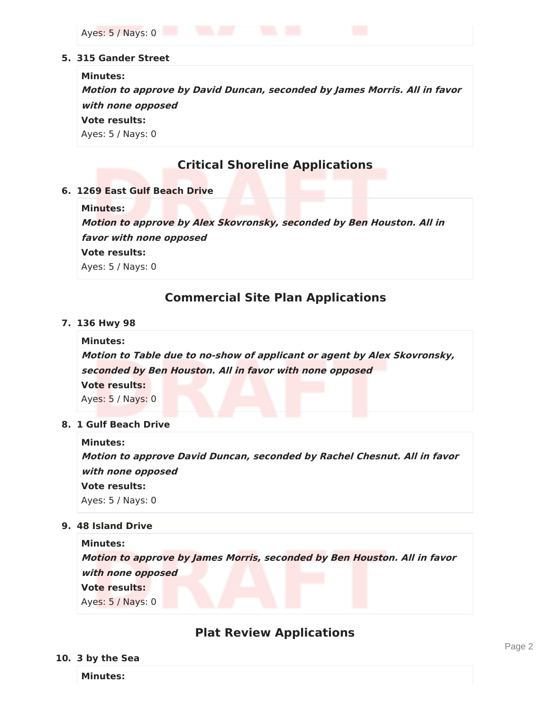Ayes: 5 / Nays: 0

#### **5. 315 Gander Street**

#### **Minutes:**

**Motion to approve by David Duncan, seconded by James Morris. All in favor with none opposed Vote results:**

Ayes: 5 / Nays: 0

## **Critical Shoreline Applications**

**6. 1269 East Gulf Beach Drive**

#### **Minutes:**

**Motion to approve by Alex Skovronsky, seconded by Ben Houston. All in**

**favor with none opposed**

**Vote results:**

Ayes: 5 / Nays: 0

### **Commercial Site Plan Applications**

#### **7. 136 Hwy 98**

**Minutes:**

**Motion to Table due to no-show of applicant or agent by Alex Skovronsky, seconded by Ben Houston. All in favor with none opposed Vote results:** Ayes: 5 / Nays: 0

**8. 1 Gulf Beach Drive**

**Minutes: Motion to approve David Duncan, seconded by Rachel Chesnut. All in favor with none opposed Vote results:** Ayes: 5 / Nays: 0

**9. 48 Island Drive**

**Minutes: Motion to approve by James Morris, seconded by Ben Houston. All in favor with none opposed Vote results:** Ayes: 5 / Nays: 0

### **Plat Review Applications**

#### **10. 3 by the Sea**

**Minutes:**